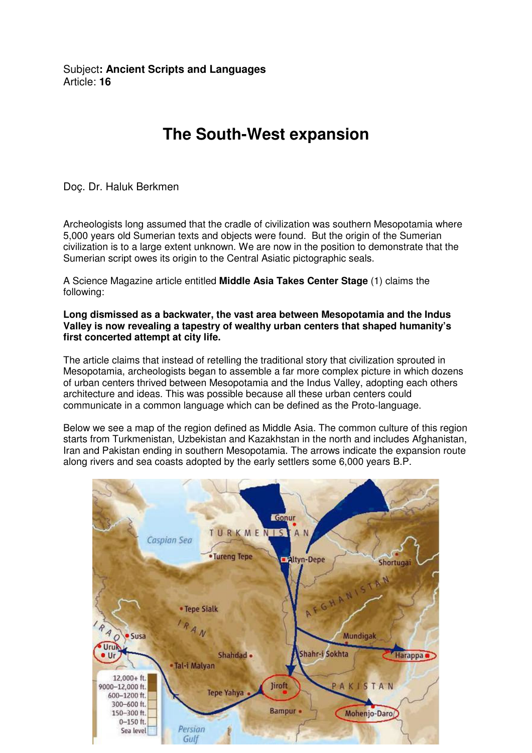Subject**: Ancient Scripts and Languages**  Article: **16**

## **The South-West expansion**

Doç. Dr. Haluk Berkmen

Archeologists long assumed that the cradle of civilization was southern Mesopotamia where 5,000 years old Sumerian texts and objects were found. But the origin of the Sumerian civilization is to a large extent unknown. We are now in the position to demonstrate that the Sumerian script owes its origin to the Central Asiatic pictographic seals.

A Science Magazine article entitled **Middle Asia Takes Center Stage** (1) claims the following:

**Long dismissed as a backwater, the vast area between Mesopotamia and the Indus Valley is now revealing a tapestry of wealthy urban centers that shaped humanity's first concerted attempt at city life.** 

The article claims that instead of retelling the traditional story that civilization sprouted in Mesopotamia, archeologists began to assemble a far more complex picture in which dozens of urban centers thrived between Mesopotamia and the Indus Valley, adopting each others architecture and ideas. This was possible because all these urban centers could communicate in a common language which can be defined as the Proto-language.

Below we see a map of the region defined as Middle Asia. The common culture of this region starts from Turkmenistan, Uzbekistan and Kazakhstan in the north and includes Afghanistan, Iran and Pakistan ending in southern Mesopotamia. The arrows indicate the expansion route along rivers and sea coasts adopted by the early settlers some 6,000 years B.P.

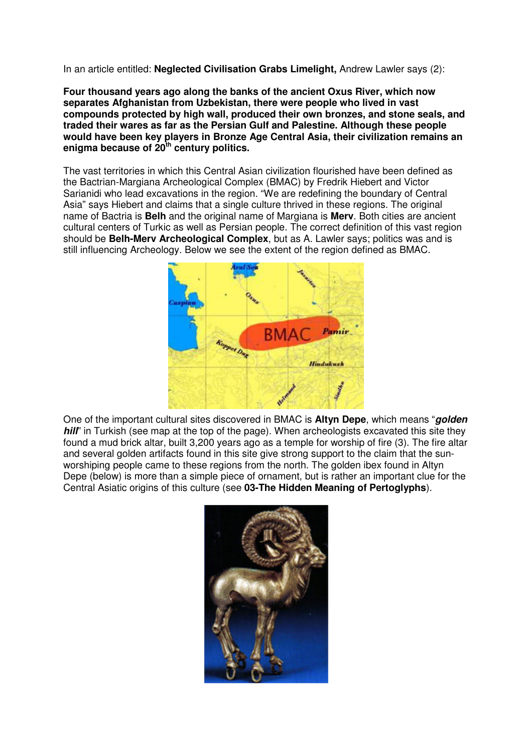In an article entitled: **Neglected Civilisation Grabs Limelight,** Andrew Lawler says (2):

**Four thousand years ago along the banks of the ancient Oxus River, which now separates Afghanistan from Uzbekistan, there were people who lived in vast compounds protected by high wall, produced their own bronzes, and stone seals, and traded their wares as far as the Persian Gulf and Palestine. Although these people would have been key players in Bronze Age Central Asia, their civilization remains an enigma because of 20th century politics.** 

The vast territories in which this Central Asian civilization flourished have been defined as the Bactrian-Margiana Archeological Complex (BMAC) by Fredrik Hiebert and Victor Sarianidi who lead excavations in the region. "We are redefining the boundary of Central Asia" says Hiebert and claims that a single culture thrived in these regions. The original name of Bactria is **Belh** and the original name of Margiana is **Merv**. Both cities are ancient cultural centers of Turkic as well as Persian people. The correct definition of this vast region should be **Belh-Merv Archeological Complex**, but as A. Lawler says; politics was and is still influencing Archeology. Below we see the extent of the region defined as BMAC.



One of the important cultural sites discovered in BMAC is **Altyn Depe**, which means "**golden hill**" in Turkish (see map at the top of the page). When archeologists excavated this site they found a mud brick altar, built 3,200 years ago as a temple for worship of fire (3). The fire altar and several golden artifacts found in this site give strong support to the claim that the sunworshiping people came to these regions from the north. The golden ibex found in Altyn Depe (below) is more than a simple piece of ornament, but is rather an important clue for the Central Asiatic origins of this culture (see **03-The Hidden Meaning of Pertoglyphs**).